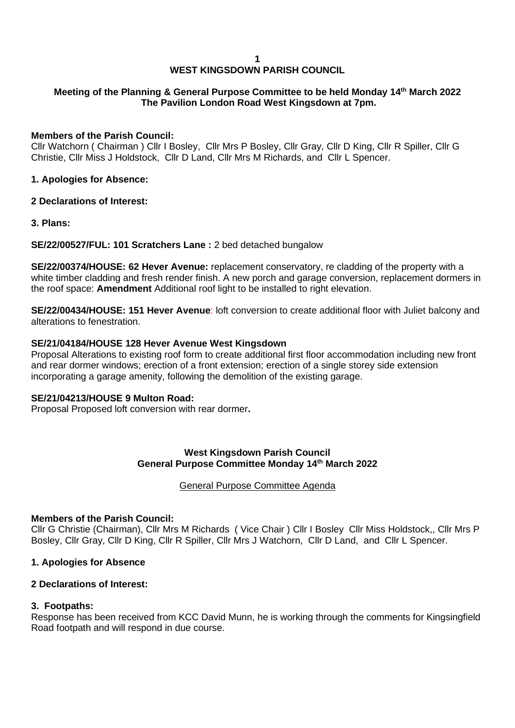#### **1**

## **WEST KINGSDOWN PARISH COUNCIL**

### **Meeting of the Planning & General Purpose Committee to be held Monday 14th March 2022 The Pavilion London Road West Kingsdown at 7pm.**

### **Members of the Parish Council:**

Cllr Watchorn ( Chairman ) Cllr I Bosley, Cllr Mrs P Bosley, Cllr Gray, Cllr D King, Cllr R Spiller, Cllr G Christie, Cllr Miss J Holdstock, Cllr D Land, Cllr Mrs M Richards, and Cllr L Spencer.

### **1. Apologies for Absence:**

### **2 Declarations of Interest:**

**3. Plans:**

**SE/22/00527/FUL: 101 Scratchers Lane :** 2 bed detached bungalow

**SE/22/00374/HOUSE: 62 Hever Avenue:** replacement conservatory, re cladding of the property with a white timber cladding and fresh render finish. A new porch and garage conversion, replacement dormers in the roof space: **Amendment** Additional roof light to be installed to right elevation.

**SE/22/00434/HOUSE: 151 Hever Avenue**: loft conversion to create additional floor with Juliet balcony and alterations to fenestration.

### **SE/21/04184/HOUSE 128 Hever Avenue West Kingsdown**

Proposal Alterations to existing roof form to create additional first floor accommodation including new front and rear dormer windows; erection of a front extension; erection of a single storey side extension incorporating a garage amenity, following the demolition of the existing garage.

#### **SE/21/04213/HOUSE 9 Multon Road:**

Proposal Proposed loft conversion with rear dormer**.**

### **West Kingsdown Parish Council General Purpose Committee Monday 14 th March 2022**

#### General Purpose Committee Agenda

#### **Members of the Parish Council:**

Cllr G Christie (Chairman), Cllr Mrs M Richards ( Vice Chair ) Cllr I Bosley Cllr Miss Holdstock,, Cllr Mrs P Bosley, Cllr Gray, Cllr D King, Cllr R Spiller, Cllr Mrs J Watchorn, Cllr D Land, and Cllr L Spencer.

### **1. Apologies for Absence**

### **2 Declarations of Interest:**

### **3. Footpaths:**

Response has been received from KCC David Munn, he is working through the comments for Kingsingfield Road footpath and will respond in due course.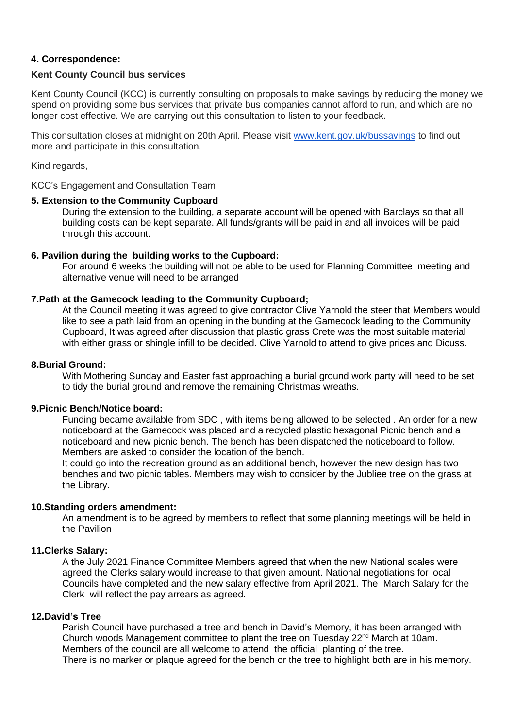### **4. Correspondence:**

### **Kent County Council bus services**

Kent County Council (KCC) is currently consulting on proposals to make savings by reducing the money we spend on providing some bus services that private bus companies cannot afford to run, and which are no longer cost effective. We are carrying out this consultation to listen to your feedback.

This consultation closes at midnight on 20th April. Please visit [www.kent.gov.uk/bussavings](https://eur02.safelinks.protection.outlook.com/?url=https%3A%2F%2Femails.engagementhq.com%2Fls%2Fclick%3Fupn%3DBtL6lsHYvyMss-2FLES88SXdjCvcyJXkigqDGYzpUUchiJeeYh-2F9bZHU6NH9H-2BkbAebuVZQ-2BcUlq6Kp4E3rcsXQ5Rh8u1vjpYWUyIO0WdULfzFTx3tJNOUqmuVxtWy7E3XwmNbC3pppSBswzQ6hkX5kJmQw-2BJIRMDqqdXz2WcjxUuxXf10OuN-2FNckuVF48RSBQ2g5ajx2pmeKALlEXJTgrJ2JuTJsh-2F7W8l6UHjh0H0rS-2F61p-2FLauSREJ-2BuyVpS-2FmL8EHm77-2BGuiBTHb2Q9VgpDolpNDgGge7AdvCjLTvn2I4-3Dm7OY_3mBltHTDd2Xh01eh8zM2aXpC12btXwrh0APIN15nVe8D4Tsgz2AkIwsyMW9TYzBPzwuG3CHRJB4kChed6E0WAZpT4HTxu-2Fyi0dDSqmETDhfrUpfW2wW0-2BIkFBuG44iDfqMS5HNnpsg7SN9Q05ahPiXuPpzKWq9oHfn2d2paGjAxwnps-2B8-2Bkuz8W17gF47F1O3Nf1-2Fi6LPJ-2Fo2tQ1MLEmysTnuH5xqwce-2BpuN2l3W6OcF1uwMxuT3Ap0jIlI33sX6BQo3jvhfcfevU2v-2Fm9IKui-2FOmaE8UbfbmSATwvtqTuA-3D&data=04%7C01%7Cchief.executive%40kentalc.gov.uk%7Cfa652441e50a475367df08d9f786eea3%7Cc71e8bd71a0446728795fe649c658937%7C1%7C0%7C637812981179369724%7CUnknown%7CTWFpbGZsb3d8eyJWIjoiMC4wLjAwMDAiLCJQIjoiV2luMzIiLCJBTiI6Ik1haWwiLCJXVCI6Mn0%3D%7C3000&sdata=432g8erdW3rT6BLN0DMYSXK8nGFt8ZdPMZfG%2BA0SUuE%3D&reserved=0) to find out more and participate in this consultation.

Kind regards,

KCC's Engagement and Consultation Team

### **5. Extension to the Community Cupboard**

During the extension to the building, a separate account will be opened with Barclays so that all building costs can be kept separate. All funds/grants will be paid in and all invoices will be paid through this account.

### **6. Pavilion during the building works to the Cupboard:**

For around 6 weeks the building will not be able to be used for Planning Committee meeting and alternative venue will need to be arranged

### **7.Path at the Gamecock leading to the Community Cupboard;**

At the Council meeting it was agreed to give contractor Clive Yarnold the steer that Members would like to see a path laid from an opening in the bunding at the Gamecock leading to the Community Cupboard, It was agreed after discussion that plastic grass Crete was the most suitable material with either grass or shingle infill to be decided. Clive Yarnold to attend to give prices and Dicuss.

### **8.Burial Ground:**

With Mothering Sunday and Easter fast approaching a burial ground work party will need to be set to tidy the burial ground and remove the remaining Christmas wreaths.

#### **9.Picnic Bench/Notice board:**

Funding became available from SDC , with items being allowed to be selected . An order for a new noticeboard at the Gamecock was placed and a recycled plastic hexagonal Picnic bench and a noticeboard and new picnic bench. The bench has been dispatched the noticeboard to follow. Members are asked to consider the location of the bench.

It could go into the recreation ground as an additional bench, however the new design has two benches and two picnic tables. Members may wish to consider by the Jubliee tree on the grass at the Library.

### **10.Standing orders amendment:**

An amendment is to be agreed by members to reflect that some planning meetings will be held in the Pavilion

### **11.Clerks Salary:**

A the July 2021 Finance Committee Members agreed that when the new National scales were agreed the Clerks salary would increase to that given amount. National negotiations for local Councils have completed and the new salary effective from April 2021. The March Salary for the Clerk will reflect the pay arrears as agreed.

#### **12.David's Tree**

Parish Council have purchased a tree and bench in David's Memory, it has been arranged with Church woods Management committee to plant the tree on Tuesday 22nd March at 10am. Members of the council are all welcome to attend the official planting of the tree. There is no marker or plaque agreed for the bench or the tree to highlight both are in his memory.